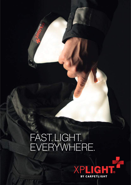# FAST. LIGHT. EVERYWHERE.

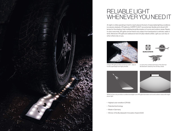

Unique: XPLights are like a luminous cloth – easy to handle, lightweight and highly flexible



In use by the combat swimmers of the German Bundeswehr, tested by the US Navy Seals



While torches only provide an unidirectional light cone XPLights illuminate rooms and outdoor areas with bright planer light



## RELIABLE LIGHT WHENEVER YOU NEED IT

At night or while operating in hard to reach places the lack of reasonable lighting conditions is a severe obstacle. XPLights by CARPETLIGHT are extremely flexible and robust LED lamps for the shadow-free multidirectional illumination of rooms and outdoor areas. Ready to use in seconds, XPLights can be fixed to any object from backpacks to vehicles, walls or tents. Moreover XPLights are waterproof and virtually indestructible. Light you can rely on when others rely on you.

- Highest color rendition (CRI 95)
- Patented technology
- Made in Germany
- Winner of the Bundeswehr Innovation Award 2020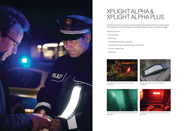

In the field XPLights can be mounted practically everywhere



XPLights realiably work in adverse weather conditions



The infrared mode of XPLights allows operations with night vision



XPLights provide equally bright working light in red light mode

- Internal battery
- USB-C port
- Compatible with USB-powerbanks
- Mounting with velcro, magnets, eyelets and MOLLE
- Virtually indestructible
- Waterproof

Small enough to fit in a pocket, powerful enough to illuminate an entire room without glare. In the Alpha plus version, XPLights are switchable between white, red and infrared light.

Features & options:



### XPLIGHT ALPHA & XPLIGHT ALPHA PLUS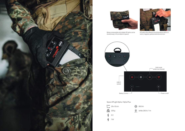



Being compressible and rollable XPLights can be stowed away in the smallest of spaces



XPLights offer different mounting options: MOLLE, velcro, magnets, eyelets/carbines and more

 $\frac{36}{10}$  white: 250 lx / 1 m



### Specs XPLight Alpha / Alpha Plus:



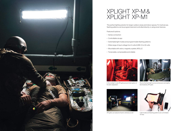

In the red light mode XPLights prevent interruption of the dark adaptation







XPLights can easily be fixed to vehicles as well Light modes and flashing patterns are controllable via App



Rooms that lack light sources and power are brightly illuminated by XPLights

The perfect lighting solution for larger outdoor areas and indoor spaces. For tactical use, flashing patterns can be programmed and controlled directly or using smart devices.

Features & options:

- Series connection
- Controllable via app
- Switchable light modes and programmable flashing patterns
- Wide range of input voltage from 5 volts (USB-C) to 30 volts
- Mountable with velcro, magnets, eyelets, MOLLE
- Torsionable, compressible and rollable



### XPLIGHT XP-M & XPLIGHT XP-M1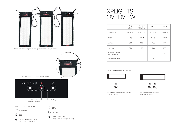

For the illumination of larger rooms XPLights can also be serially connected

XPLight Alpha has the luminous intensity of a 60W light bulb





XP-M delivers the double intesity of two 60W light bulbs



|                                            | <b>XPLight</b><br>Alpha | <b>XPLight</b><br>Alpha Plus | XP-M       | XP-M1            |
|--------------------------------------------|-------------------------|------------------------------|------------|------------------|
| <b>Dimensions</b>                          | $35 \times 10$ cm       | $35 \times 10$ cm            | 62 x 24 cm | 62 x 24 cm       |
| Weight                                     | 225g                    | 225g                         | 500 g      | 500 <sub>g</sub> |
| Lumen                                      | 800                     | 800                          | 1400       | 1400             |
| Lux/1m                                     | 250                     | 250                          | 500        | 500              |
| red light and infrared<br>light selectable |                         |                              |            |                  |
| Series connection                          |                         |                              |            |                  |

### XPLIGHTS OVERVIEW

Luminous intensity in comparison:



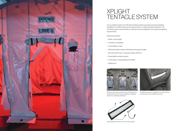

Maximum time saving: with the use of XPLights in airsupported tents, the complex installation of lighting systems is completely eliminated



Individual lighting module of the TenTacle system





The lights become an integral part of the inner tents and only need to be supplied with power

As a complete solution, the XPLight TenTacle system provides permanent lighting installation in mobile units such as medical tents or mobile quarantine stations. The TenTacle system can be flexibly combined and thus adapted to the respective lighting requirements.

- Features & options:
- White- and red light
- Centrally controllable
- Controllable via App
- Diffenerent light modes switchable and programmable
- Mounting with velcro, magnets, eyelets, MOLLE
- Expandable modular system
- Torsionable, compressible and rollable
- Waterproof



### XPLIGHT TENTACLE SYSTEM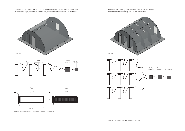Both dimensions and mounting options are variable and customisable









Tents with one chamber can be equipped with one or multiple rows of lamps supplied by a central power suplly or batteries. The intensity and colour can be adjusted with a dimmer.

In multichamber tents a lighting system of multiple rows can be utilised. The system can be devided up using an optional splitter.